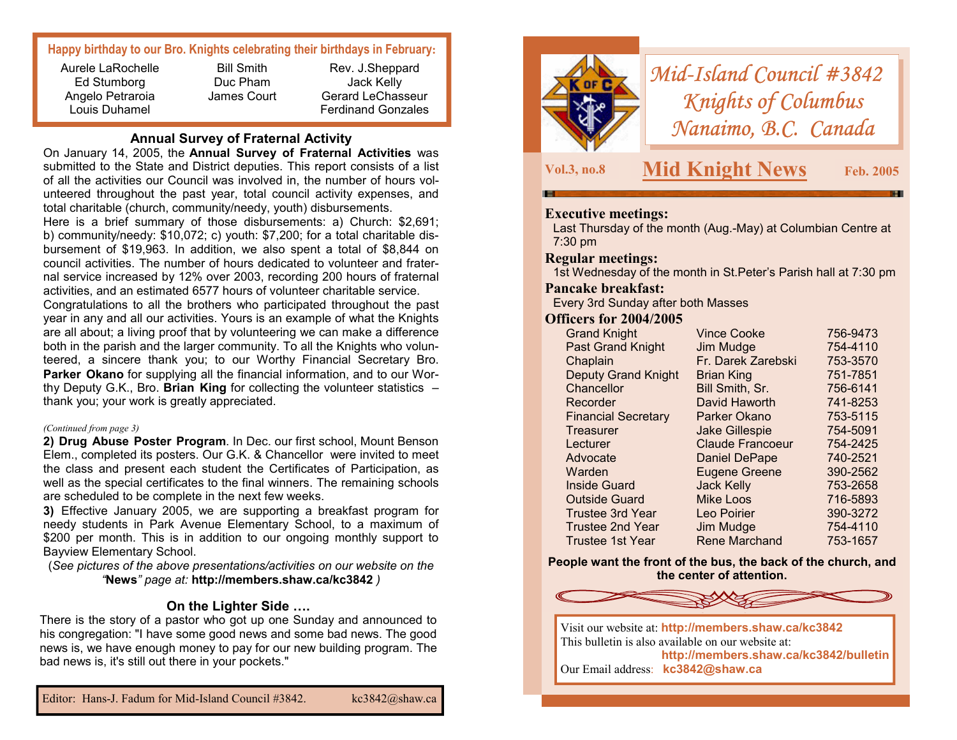# **Happy birthday to our Bro. Knights celebrating their birthdays in February:**

Aurele LaRochelle Ed Stumborg Angelo Petraroia Louis Duhamel

Bill Smith Duc Pham James Court

Rev. J.Sheppard Jack Kelly Gerard LeChasseur Ferdinand Gonzales

## **Annual Survey of Fraternal Activity**

On January 14, 2005, the **Annual Survey of Fraternal Activities** was submitted to the State and District deputies. This report consists of a list of all the activities our Council was involved in, the number of hours volunteered throughout the past year, total council activity expenses, and total charitable (church, community/needy, youth) disbursements.

Here is a brief summary of those disbursements: a) Church: \$2,691; b) community/needy: \$10,072; c) youth: \$7,200; for a total charitable disbursement of \$19,963. In addition, we also spent a total of \$8,844 on council activities. The number of hours dedicated to volunteer and fraternal service increased by 12% over 2003, recording 200 hours of fraternal activities, and an estimated 6577 hours of volunteer charitable service. Congratulations to all the brothers who participated throughout the past year in any and all our activities. Yours is an example of what the Knights are all about; a living proof that by volunteering we can make a difference both in the parish and the larger community. To all the Knights who volunteered, a sincere thank you; to our Worthy Financial Secretary Bro. **Parker Okano** for supplying all the financial information, and to our Worthy Deputy G.K., Bro. **Brian King** for collecting the volunteer statistics – thank you; your work is greatly appreciated.

#### *(Continued from page 3)*

**2) Drug Abuse Poster Program**. In Dec. our first school, Mount Benson Elem., completed its posters. Our G.K. & Chancellor were invited to meet the class and present each student the Certificates of Participation, as well as the special certificates to the final winners. The remaining schools are scheduled to be complete in the next few weeks.

**3)** Effective January 2005, we are supporting a breakfast program for needy students in Park Avenue Elementary School, to a maximum of \$200 per month. This is in addition to our ongoing monthly support to Bayview Elementary School.

(*See pictures of the above presentations/activities on our website on the "***News***" page at:* **http://members.shaw.ca/kc3842** *)* 

## **On the Lighter Side ….**

There is the story of a pastor who got up one Sunday and announced to his congregation: "I have some good news and some bad news. The good news is, we have enough money to pay for our new building program. The bad news is, it's still out there in your pockets."



*Mid-Island Council #3842 Knights of Columbus Nanaimo, B.C. Canada* 

**Vol.3, no.8 Mid Knight News Feb. 2005** 

#### **Executive meetings:**

Last Thursday of the month (Aug.-May) at Columbian Centre at 7:30 pm

#### **Regular meetings:**

1st Wednesday of the month in St.Peter's Parish hall at 7:30 pm

## **Pancake breakfast:**

Every 3rd Sunday after both Masses

#### **Officers for 2004/2005**

| <b>Grand Knight</b>        | <b>Vince Cooke</b>      | 756-9473 |
|----------------------------|-------------------------|----------|
| <b>Past Grand Knight</b>   | Jim Mudge               | 754-4110 |
| Chaplain                   | Fr. Darek Zarebski      | 753-3570 |
| <b>Deputy Grand Knight</b> | <b>Brian King</b>       | 751-7851 |
| Chancellor                 | Bill Smith, Sr.         | 756-6141 |
| Recorder                   | David Haworth           | 741-8253 |
| <b>Financial Secretary</b> | Parker Okano            | 753-5115 |
| Treasurer                  | <b>Jake Gillespie</b>   | 754-5091 |
| Lecturer                   | <b>Claude Francoeur</b> | 754-2425 |
| Advocate                   | <b>Daniel DePape</b>    | 740-2521 |
| Warden                     | <b>Eugene Greene</b>    | 390-2562 |
| <b>Inside Guard</b>        | <b>Jack Kelly</b>       | 753-2658 |
| <b>Outside Guard</b>       | <b>Mike Loos</b>        | 716-5893 |
| <b>Trustee 3rd Year</b>    | Leo Poirier             | 390-3272 |
| <b>Trustee 2nd Year</b>    | Jim Mudge               | 754-4110 |
| Trustee 1st Year           | Rene Marchand           | 753-1657 |

**People want the front of the bus, the back of the church, and the center of attention.** 



Our Email address: **kc3842@shaw.ca**